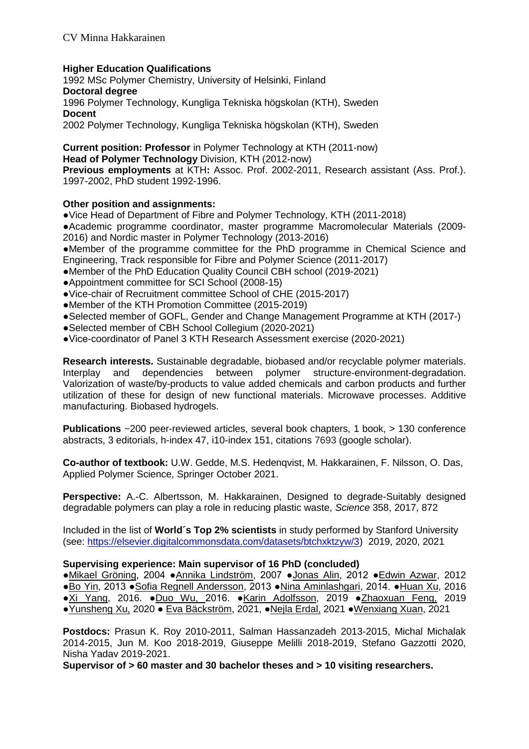# **Higher Education Qualifications**

1992 MSc Polymer Chemistry, University of Helsinki, Finland **Doctoral degree** 1996 Polymer Technology, Kungliga Tekniska högskolan (KTH), Sweden **Docent** 2002 Polymer Technology, Kungliga Tekniska högskolan (KTH), Sweden

**Current position: Professor** in Polymer Technology at KTH (2011-now) **Head of Polymer Technology** Division, KTH (2012-now) **Previous employments** at KTH**:** Assoc. Prof. 2002-2011, Research assistant (Ass. Prof.). 1997-2002, PhD student 1992-1996.

# **Other position and assignments:**

**●**Vice Head of Department of Fibre and Polymer Technology, KTH (2011-2018)

**●**Academic programme coordinator, master programme Macromolecular Materials (2009- 2016) and Nordic master in Polymer Technology (2013-2016)

**●**Member of the programme committee for the PhD programme in Chemical Science and Engineering, Track responsible for Fibre and Polymer Science (2011-2017)

**●**Member of the PhD Education Quality Council CBH school (2019-2021)

- **●**Appointment committee for SCI School (2008-15)
- **●**Vice-chair of Recruitment committee School of CHE (2015-2017)
- **●**Member of the KTH Promotion Committee (2015-2019)
- **●**Selected member of GOFL, Gender and Change Management Programme at KTH (2017-)
- **●**Selected member of CBH School Collegium (2020-2021)
- ●Vice-coordinator of Panel 3 KTH Research Assessment exercise (2020-2021)

**Research interests.** Sustainable degradable, biobased and/or recyclable polymer materials. Interplay and dependencies between polymer structure-environment-degradation. Valorization of waste/by-products to value added chemicals and carbon products and further utilization of these for design of new functional materials. Microwave processes. Additive manufacturing. Biobased hydrogels.

**Publications** ~200 peer-reviewed articles, several book chapters, 1 book, > 130 conference abstracts, 3 editorials, h-index 47, i10-index 151, citations 7693 (google scholar).

**Co-author of textbook:** U.W. Gedde, M.S. Hedenqvist, M. Hakkarainen, F. Nilsson, O. Das, Applied Polymer Science, Springer October 2021.

**Perspective:** A.-C. Albertsson, M. Hakkarainen, Designed to degrade-Suitably designed degradable polymers can play a role in reducing plastic waste, *Science* 358, 2017, 872

Included in the list of **World´s Top 2% scientists** in study performed by Stanford University (see: [https://elsevier.digitalcommonsdata.com/datasets/btchxktzyw/3\)](https://elsevier.digitalcommonsdata.com/datasets/btchxktzyw/3) 2019, 2020, 2021

### **Supervising experience: Main supervisor of 16 PhD (concluded)**

●Mikael Gröning, 2004 ●Annika Lindström, 2007 ●Jonas Alin, 2012 ●Edwin Azwar, 2012 ●Bo Yin, 2013 ●Sofia Regnell Andersson, 2013 ●Nina Aminlashgari, 2014. ●Huan Xu, 2016 ●Xi Yang, 2016. ●Duo Wu, 2016. ●Karin Adolfsson, 2019 ●Zhaoxuan Feng, 2019 ●Yunsheng Xu, 2020 ● Eva Bäckström, 2021, ●Nejla Erdal, 2021 ●Wenxiang Xuan, 2021

**Postdocs:** Prasun K. Roy 2010-2011, Salman Hassanzadeh 2013-2015, Michal Michalak 2014-2015, Jun M. Koo 2018-2019, Giuseppe Melilli 2018-2019, Stefano Gazzotti 2020, Nisha Yadav 2019-2021.

**Supervisor of > 60 master and 30 bachelor theses and > 10 visiting researchers.**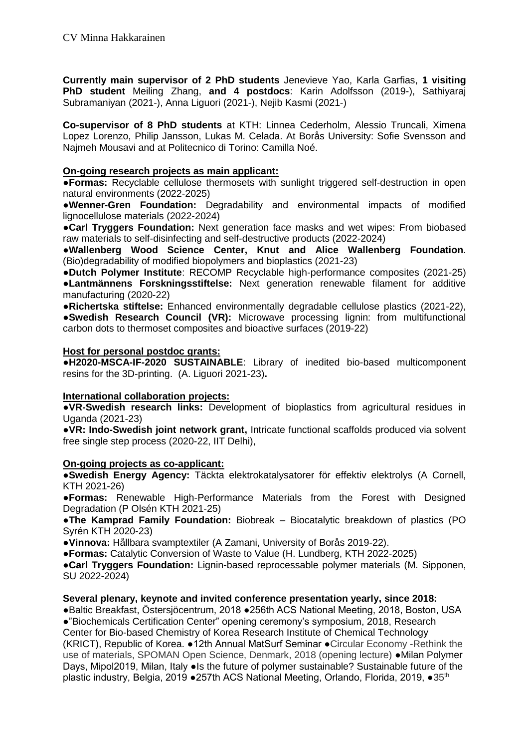**Currently main supervisor of 2 PhD students** Jenevieve Yao, Karla Garfias, **1 visiting PhD student** Meiling Zhang, **and 4 postdocs**: Karin Adolfsson (2019-), Sathiyaraj Subramaniyan (2021-), Anna Liguori (2021-), Nejib Kasmi (2021-)

**Co-supervisor of 8 PhD students** at KTH: Linnea Cederholm, Alessio Truncali, Ximena Lopez Lorenzo, Philip Jansson, Lukas M. Celada. At Borås University: Sofie Svensson and Najmeh Mousavi and at Politecnico di Torino: Camilla Noé.

# **On-going research projects as main applicant:**

**●Formas:** Recyclable cellulose thermosets with sunlight triggered self-destruction in open natural environments (2022-2025)

**●Wenner-Gren Foundation:** Degradability and environmental impacts of modified lignocellulose materials (2022-2024)

**●Carl Tryggers Foundation:** Next generation face masks and wet wipes: From biobased raw materials to self-disinfecting and self-destructive products (2022-2024)

**●Wallenberg Wood Science Center, Knut and Alice Wallenberg Foundation**. (Bio)degradability of modified biopolymers and bioplastics (2021-23)

**●Dutch Polymer Institute**: RECOMP Recyclable high-performance composites (2021-25) **●Lantmännens Forskningsstiftelse:** Next generation renewable filament for additive manufacturing (2020-22)

**●Richertska stiftelse:** Enhanced environmentally degradable cellulose plastics (2021-22), **●Swedish Research Council (VR):** Microwave processing lignin: from multifunctional carbon dots to thermoset composites and bioactive surfaces (2019-22)

### **Host for personal postdoc grants:**

**●H2020-MSCA-IF-2020 SUSTAINABLE**: Library of inedited bio-based multicomponent resins for the 3D-printing. (A. Liguori 2021-23)**.** 

### **International collaboration projects:**

**●VR-Swedish research links:** Development of bioplastics from agricultural residues in Uganda (2021-23)

**●VR: Indo-Swedish joint network grant,** Intricate functional scaffolds produced via solvent free single step process (2020-22, IIT Delhi),

### **On-going projects as co-applicant:**

**●Swedish Energy Agency:** Täckta elektrokatalysatorer för effektiv elektrolys (A Cornell, KTH 2021-26)

**●Formas:** Renewable High-Performance Materials from the Forest with Designed Degradation (P Olsén KTH 2021-25)

**●The Kamprad Family Foundation:** Biobreak – Biocatalytic breakdown of plastics (PO Syrén KTH 2020-23)

**●Vinnova:** Hållbara svamptextiler (A Zamani, University of Borås 2019-22).

**●Formas:** Catalytic Conversion of Waste to Value (H. Lundberg, KTH 2022-2025)

**●Carl Tryggers Foundation:** Lignin-based reprocessable polymer materials (M. Sipponen, SU 2022-2024)

# **Several plenary, keynote and invited conference presentation yearly, since 2018:**

●Baltic Breakfast, [Östersjöcentrum,](https://www.su.se/ostersjocentrum/baltic-eye/evenemang/baltic-breakfast) 2018 ●256th ACS National Meeting, 2018, Boston, USA ●"Biochemicals Certification Center" opening ceremony's symposium, 2018, Research Center for Bio-based Chemistry of Korea Research Institute of Chemical Technology (KRICT), Republic of Korea. ●12th Annual MatSurf Seminar ●Circular Economy -Rethink the use of materials, SPOMAN Open Science, Denmark, 2018 (opening lecture) ●Milan Polymer Days, Mipol2019, Milan, Italy ●Is the future of polymer sustainable? Sustainable future of the plastic industry, Belgia, 2019 • 257th ACS National Meeting, Orlando, Florida, 2019, • 35<sup>th</sup>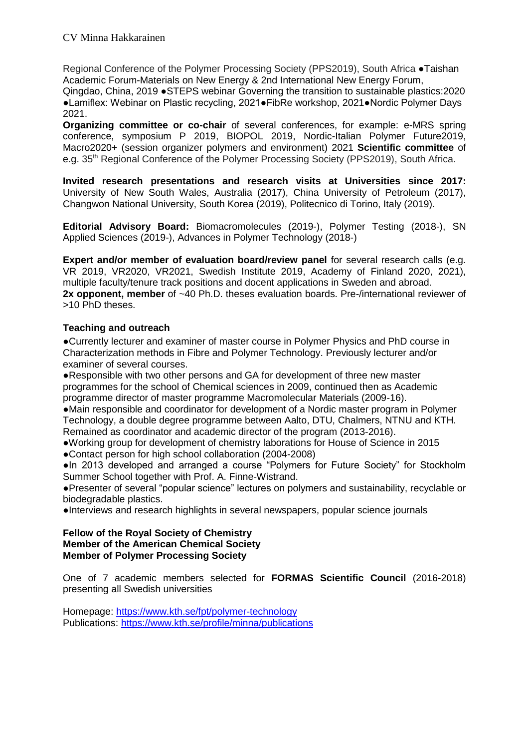Regional Conference of the Polymer Processing Society (PPS2019), South Africa ●Taishan Academic Forum-Materials on New Energy & 2nd International New Energy Forum,

Qingdao, China, 2019 ●STEPS webinar Governing the transition to sustainable plastics:2020 ●Lamiflex: Webinar on Plastic recycling, 2021●FibRe workshop, 2021●Nordic Polymer Days 2021.

**Organizing committee or co-chair** of several conferences, for example: e-MRS spring conference, symposium P 2019, BIOPOL 2019, Nordic-Italian Polymer Future2019, Macro2020+ (session organizer polymers and environment) 2021 **Scientific committee** of e.g. 35<sup>th</sup> Regional Conference of the Polymer Processing Society (PPS2019), South Africa.

**Invited research presentations and research visits at Universities since 2017:**  University of New South Wales, Australia (2017), China University of Petroleum (2017), Changwon National University, South Korea (2019), Politecnico di Torino, Italy (2019).

**Editorial Advisory Board:** Biomacromolecules (2019-), Polymer Testing (2018-), SN Applied Sciences (2019-), Advances in Polymer Technology (2018-)

**Expert and/or member of evaluation board/review panel for several research calls (e.g.** VR 2019, VR2020, VR2021, Swedish Institute 2019, Academy of Finland 2020, 2021), multiple faculty/tenure track positions and docent applications in Sweden and abroad. **2x opponent, member** of ~40 Ph.D. theses evaluation boards. Pre-/international reviewer of >10 PhD theses.

# **Teaching and outreach**

**●**Currently lecturer and examiner of master course in Polymer Physics and PhD course in Characterization methods in Fibre and Polymer Technology. Previously lecturer and/or examiner of several courses.

**●**Responsible with two other persons and GA for development of three new master programmes for the school of Chemical sciences in 2009, continued then as Academic programme director of master programme Macromolecular Materials (2009-16).

**●**Main responsible and coordinator for development of a Nordic master program in Polymer Technology, a double degree programme between Aalto, DTU, Chalmers, NTNU and KTH. Remained as coordinator and academic director of the program (2013-2016).

**●**Working group for development of chemistry laborations for House of Science in 2015 **●**Contact person for high school collaboration (2004-2008)

**●**In 2013 developed and arranged a course "Polymers for Future Society" for Stockholm Summer School together with Prof. A. Finne-Wistrand.

**●**Presenter of several "popular science" lectures on polymers and sustainability, recyclable or biodegradable plastics.

**●**Interviews and research highlights in several newspapers, popular science journals

#### **Fellow of the Royal Society of Chemistry Member of the American Chemical Society Member of Polymer Processing Society**

One of 7 academic members selected for **FORMAS Scientific Council** (2016-2018) presenting all Swedish universities

Homepage:<https://www.kth.se/fpt/polymer-technology> Publications:<https://www.kth.se/profile/minna/publications>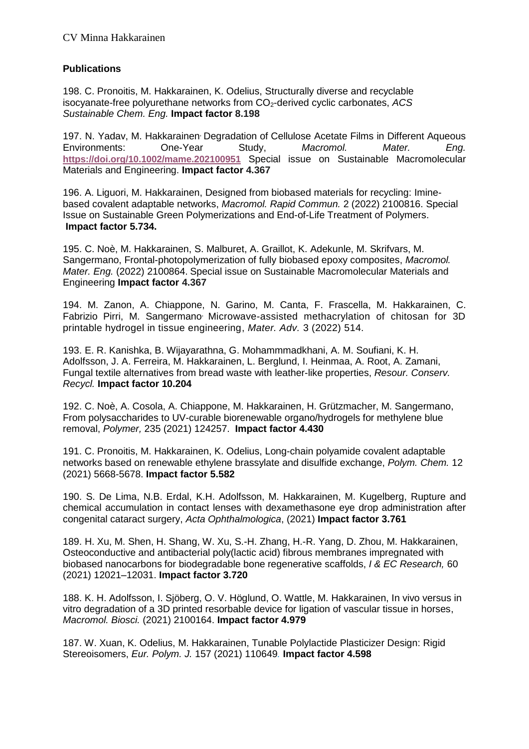# **Publications**

198. C. Pronoitis, M. Hakkarainen, K. Odelius, Structurally diverse and recyclable isocyanate-free polyurethane networks from CO2-derived cyclic carbonates, *ACS Sustainable Chem. Eng.* **Impact factor 8.198**

197. N. Yadav, M. Hakkarainen, Degradation of Cellulose Acetate Films in Different Aqueous Environments: One-Year Study, *Macromol. Mater. Eng.* **<https://doi.org/10.1002/mame.202100951>** Special issue on Sustainable Macromolecular Materials and Engineering. **Impact factor 4.367**

196. A. Liguori, M. Hakkarainen, Designed from biobased materials for recycling: Iminebased covalent adaptable networks, *Macromol. Rapid Commun.* 2 (2022) 2100816. Special Issue on Sustainable Green Polymerizations and End-of-Life Treatment of Polymers. **Impact factor 5.734.** 

195. C. Noè, M. Hakkarainen, S. Malburet, A. Graillot, K. Adekunle, M. Skrifvars, M. Sangermano, Frontal-photopolymerization of fully biobased epoxy composites, *Macromol. Mater. Eng.* (2022) 2100864. Special issue on Sustainable Macromolecular Materials and Engineering **Impact factor 4.367**

194. M. Zanon, A. Chiappone, N. Garino, M. Canta, F. Frascella, M. Hakkarainen, C. Fabrizio Pirri, M. Sangermano<sup>,</sup> Microwave-assisted methacrylation of chitosan for 3D printable hydrogel in tissue engineering, *Mater. Adv.* 3 (2022) 514.

193. E. R. Kanishka, B. Wijayarathna, G. Mohammmadkhani, A. M. Soufiani, K. H. Adolfsson, J. A. Ferreira, M. Hakkarainen, L. Berglund, I. Heinmaa, A. Root, A. Zamani, Fungal textile alternatives from bread waste with leather-like properties, *Resour. Conserv. Recycl.* **Impact factor 10.204**

192. C. Noè, A. Cosola, A. Chiappone, M. Hakkarainen, H. Grützmacher, M. Sangermano, From polysaccharides to UV-curable biorenewable organo/hydrogels for methylene blue removal, *Polymer,* 235 (2021) 124257. **Impact factor 4.430**

191. C. Pronoitis, M. Hakkarainen, K. Odelius, Long-chain polyamide covalent adaptable networks based on renewable ethylene brassylate and disulfide exchange, *Polym. Chem.* 12 (2021) 5668-5678. **Impact factor 5.582**

190. S. De Lima, N.B. Erdal, K.H. Adolfsson, M. Hakkarainen, M. Kugelberg, Rupture and chemical accumulation in contact lenses with dexamethasone eye drop administration after congenital cataract surgery, *Acta Ophthalmologica*, (2021) **Impact factor 3.761**

189. H. Xu, M. Shen, H. Shang, W. Xu, S.-H. Zhang, H.-R. Yang, D. Zhou, M. Hakkarainen, Osteoconductive and antibacterial poly(lactic acid) fibrous membranes impregnated with biobased nanocarbons for biodegradable bone regenerative scaffolds, *I & EC Research,* 60 (2021) 12021–12031. **Impact factor 3.720**

188. K. H. Adolfsson, I. Sjöberg, O. V. Höglund, O. Wattle, M. Hakkarainen, In vivo versus in vitro degradation of a 3D printed resorbable device for ligation of vascular tissue in horses, *Macromol. Biosci.* (2021) 2100164. **Impact factor 4.979**

187. W. Xuan, K. Odelius, M. Hakkarainen, Tunable Polylactide Plasticizer Design: Rigid Stereoisomers, *Eur. Polym. J.* 157 (2021) 110649*.* **Impact factor 4.598**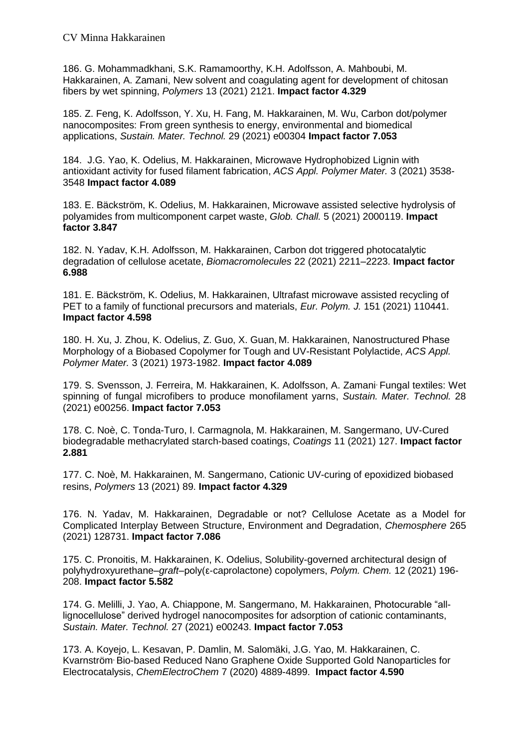186. G. Mohammadkhani, S.K. Ramamoorthy, K.H. Adolfsson, A. Mahboubi, M. Hakkarainen, A. Zamani, New solvent and coagulating agent for development of chitosan fibers by wet spinning, *Polymers* 13 (2021) 2121. **Impact factor 4.329**

185. Z. Feng, K. Adolfsson, Y. Xu, H. Fang, M. Hakkarainen, M. Wu, Carbon dot/polymer nanocomposites: From green synthesis to energy, environmental and biomedical applications, *Sustain. Mater. Technol.* 29 (2021) e00304 **Impact factor 7.053**

184. J.G. Yao, K. Odelius, M. Hakkarainen, Microwave Hydrophobized Lignin with antioxidant activity for fused filament fabrication, *ACS Appl. Polymer Mater.* 3 (2021) 3538- 3548 **Impact factor 4.089**

183. E. Bäckström, K. Odelius, M. Hakkarainen, Microwave assisted selective hydrolysis of polyamides from multicomponent carpet waste, *Glob. Chall.* 5 (2021) 2000119. **Impact factor 3.847**

182. N. Yadav, K.H. Adolfsson, M. Hakkarainen, Carbon dot triggered photocatalytic degradation of cellulose acetate, *Biomacromolecules* 22 (2021) 2211–2223. **Impact factor 6.988**

181. E. Bäckström, K. Odelius, M. Hakkarainen, Ultrafast microwave assisted recycling of PET to a family of functional precursors and materials, *Eur. Polym. J.* 151 (2021) 110441. **Impact factor 4.598**

180. H. Xu, J. Zhou, K. Odelius, Z. Guo, X. Guan, M. Hakkarainen, Nanostructured Phase Morphology of a Biobased Copolymer for Tough and UV-Resistant Polylactide, *ACS Appl. Polymer Mater.* 3 (2021) 1973-1982. **Impact factor 4.089**

179. S. Svensson, J. Ferreira, M. Hakkarainen, K. Adolfsson, A. Zamani, Fungal textiles: Wet spinning of fungal microfibers to produce monofilament yarns, *Sustain. Mater. Technol.* 28 (2021) e00256. **Impact factor 7.053**

178. C. Noè, C. Tonda-Turo, I. Carmagnola, M. Hakkarainen, M. Sangermano, UV-Cured biodegradable methacrylated starch-based coatings, *Coatings* 11 (2021) 127. **Impact factor 2.881**

177. C. Noè, M. Hakkarainen, M. Sangermano, Cationic UV-curing of epoxidized biobased resins, *Polymers* 13 (2021) 89. **Impact factor 4.329**

176. N. Yadav, M. Hakkarainen, Degradable or not? Cellulose Acetate as a Model for Complicated Interplay Between Structure, Environment and Degradation, *Chemosphere* 265 (2021) 128731. **Impact factor 7.086**

175. C. Pronoitis, M. Hakkarainen, K. Odelius, Solubility-governed architectural design of polyhydroxyurethane–*graft*–poly(ε-caprolactone) copolymers, *Polym. Chem.* 12 (2021) 196- 208. **Impact factor 5.582**

174. G. Melilli, J. Yao, A. Chiappone, M. Sangermano, M. Hakkarainen, Photocurable "alllignocellulose" derived hydrogel nanocomposites for adsorption of cationic contaminants, *Sustain. Mater. Technol.* 27 (2021) e00243. **Impact factor 7.053**

173. A. Koyejo, L. Kesavan, P. Damlin, M. Salomäki, J.G. Yao, M. Hakkarainen, C. Kvarnström, Bio-based Reduced Nano Graphene Oxide Supported Gold Nanoparticles for Electrocatalysis, *ChemElectroChem* 7 (2020) 4889-4899. **Impact factor 4.590**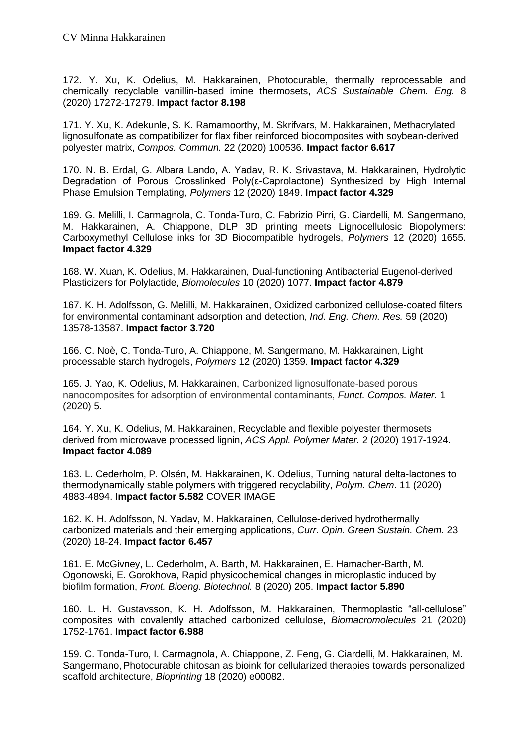172. Y. Xu, K. Odelius, M. Hakkarainen, Photocurable, thermally reprocessable and chemically recyclable vanillin-based imine thermosets, *ACS Sustainable Chem. Eng.* 8 (2020) 17272-17279. **Impact factor 8.198**

171. Y. Xu, K. Adekunle, S. K. Ramamoorthy, M. Skrifvars, M. Hakkarainen, Methacrylated lignosulfonate as compatibilizer for flax fiber reinforced biocomposites with soybean-derived polyester matrix, *Compos. Commun.* 22 (2020) 100536. **Impact factor 6.617**

170. N. B. Erdal, G. Albara Lando, A. Yadav, R. K. Srivastava, M. Hakkarainen, Hydrolytic Degradation of Porous Crosslinked Poly(ε-Caprolactone) Synthesized by High Internal Phase Emulsion Templating, *Polymers* 12 (2020) 1849. **Impact factor 4.329**

169. G. Melilli, I. Carmagnola, C. Tonda-Turo, C. Fabrizio Pirri, G. Ciardelli, M. Sangermano, M. Hakkarainen, A. Chiappone, DLP 3D printing meets Lignocellulosic Biopolymers: Carboxymethyl Cellulose inks for 3D Biocompatible hydrogels, *Polymers* 12 (2020) 1655. **Impact factor 4.329**

168. W. Xuan, K. Odelius, M. Hakkarainen*,* Dual-functioning Antibacterial Eugenol-derived Plasticizers for Polylactide, *Biomolecules* 10 (2020) 1077. **Impact factor 4.879**

167. K. H. Adolfsson, G. Melilli, M. Hakkarainen, Oxidized carbonized cellulose-coated filters for environmental contaminant adsorption and detection, *Ind. Eng. Chem. Res.* 59 (2020) 13578-13587. **Impact factor 3.720**

166. C. Noè, C. Tonda-Turo, A. Chiappone, M. Sangermano, M. Hakkarainen, Light processable starch hydrogels, *Polymers* 12 (2020) 1359. **Impact factor 4.329**

165. J. Yao, K. Odelius, M. Hakkarainen, Carbonized lignosulfonate-based porous nanocomposites for adsorption of environmental contaminants, *Funct. Compos. Mater.* 1 (2020) 5*.*

164. Y. Xu, K. Odelius, M. Hakkarainen, Recyclable and flexible polyester thermosets derived from microwave processed lignin, *ACS Appl. Polymer Mater.* 2 (2020) 1917-1924. **Impact factor 4.089**

163. L. Cederholm, P. Olsén, M. Hakkarainen, K. Odelius, Turning natural delta-lactones to thermodynamically stable polymers with triggered recyclability, *Polym. Chem*. 11 (2020) 4883-4894. **Impact factor 5.582** COVER IMAGE

162. K. H. Adolfsson, N. Yadav, M. Hakkarainen, Cellulose-derived hydrothermally carbonized materials and their emerging applications, *Curr. Opin. Green Sustain. Chem.* 23 (2020) 18-24. **Impact factor 6.457**

161. E. McGivney, L. Cederholm, A. Barth, M. Hakkarainen, E. Hamacher-Barth, M. Ogonowski, E. Gorokhova, Rapid physicochemical changes in microplastic induced by biofilm formation, *Front. Bioeng. Biotechnol.* 8 (2020) 205. **Impact factor 5.890**

160. L. H. Gustavsson, K. H. Adolfsson, M. Hakkarainen, Thermoplastic "all-cellulose" composites with covalently attached carbonized cellulose, *Biomacromolecules* 21 (2020) 1752-1761. **Impact factor 6.988**

159. C. Tonda-Turo, I. Carmagnola, A. Chiappone, Z. Feng, G. Ciardelli, M. Hakkarainen, M. Sangermano, Photocurable chitosan as bioink for cellularized therapies towards personalized scaffold architecture, *Bioprinting* 18 (2020) e00082.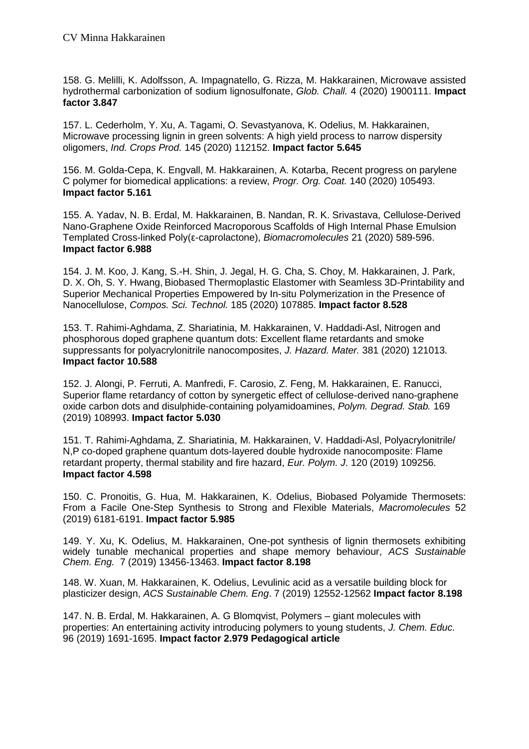158. G. Melilli, K. Adolfsson, A. Impagnatello, G. Rizza, M. Hakkarainen, Microwave assisted hydrothermal carbonization of sodium lignosulfonate, *Glob. Chall.* 4 (2020) 1900111. **Impact factor 3.847**

157. L. Cederholm, Y. Xu, A. Tagami, O. Sevastyanova, K. Odelius, M. Hakkarainen, Microwave processing lignin in green solvents: A high yield process to narrow dispersity oligomers, *Ind. Crops Prod.* 145 (2020) 112152. **Impact factor 5.645**

156. M. Golda-Cepa, K. Engvall, M. Hakkarainen, A. Kotarba, Recent progress on parylene C polymer for biomedical applications: a review, *Progr. Org. Coat.* 140 (2020) 105493. **Impact factor 5.161**

155. A. Yadav, N. B. Erdal, M. Hakkarainen, B. Nandan, R. K. Srivastava, Cellulose-Derived Nano-Graphene Oxide Reinforced Macroporous Scaffolds of High Internal Phase Emulsion Templated Cross-linked Poly(ε-caprolactone), *Biomacromolecules* 21 (2020) 589-596. **Impact factor 6.988**

154. J. M. Koo, J. Kang, S.-H. Shin, J. Jegal, H. G. Cha, S. Choy, M. Hakkarainen, J. Park, D. X. Oh, S. Y. Hwang, Biobased Thermoplastic Elastomer with Seamless 3D-Printability and Superior Mechanical Properties Empowered by In-situ Polymerization in the Presence of Nanocellulose, *Compos. Sci. Technol.* 185 (2020) 107885. **Impact factor 8.528**

153. T. Rahimi-Aghdama, Z. Shariatinia, M. Hakkarainen, V. Haddadi-Asl, Nitrogen and phosphorous doped graphene quantum dots: Excellent flame retardants and smoke suppressants for polyacrylonitrile nanocomposites, *J. Hazard. Mater.* 381 (2020) 121013*.*  **Impact factor 10.588**

152. J. Alongi, P. Ferruti, A. Manfredi, F. Carosio, Z. Feng, M. Hakkarainen, E. Ranucci, Superior flame retardancy of cotton by synergetic effect of cellulose-derived nano-graphene oxide carbon dots and disulphide-containing polyamidoamines, *Polym. Degrad. Stab.* 169 (2019) 108993. **Impact factor 5.030**

151. T. Rahimi-Aghdama, Z. Shariatinia, M. Hakkarainen, V. Haddadi-Asl, Polyacrylonitrile/ N,P co-doped graphene quantum dots-layered double hydroxide nanocomposite: Flame retardant property, thermal stability and fire hazard, *Eur. Polym. J*. 120 (2019) 109256. **Impact factor 4.598**

150. C. Pronoitis, G. Hua, M. Hakkarainen, K. Odelius, Biobased Polyamide Thermosets: From a Facile One-Step Synthesis to Strong and Flexible Materials, *Macromolecules* 52 (2019) 6181-6191. **Impact factor 5.985**

149. Y. Xu, K. Odelius, M. Hakkarainen, One-pot synthesis of lignin thermosets exhibiting widely tunable mechanical properties and shape memory behaviour, *ACS Sustainable Chem. Eng.* 7 (2019) 13456-13463. **Impact factor 8.198**

148. W. Xuan, M. Hakkarainen, K. Odelius, Levulinic acid as a versatile building block for plasticizer design, *ACS Sustainable Chem. Eng*. 7 (2019) 12552-12562 **Impact factor 8.198**

147. N. B. Erdal, M. Hakkarainen, A. G Blomqvist, Polymers – giant molecules with properties: An entertaining activity introducing polymers to young students, *J. Chem. Educ.* 96 (2019) 1691-1695. **Impact factor 2.979 Pedagogical article**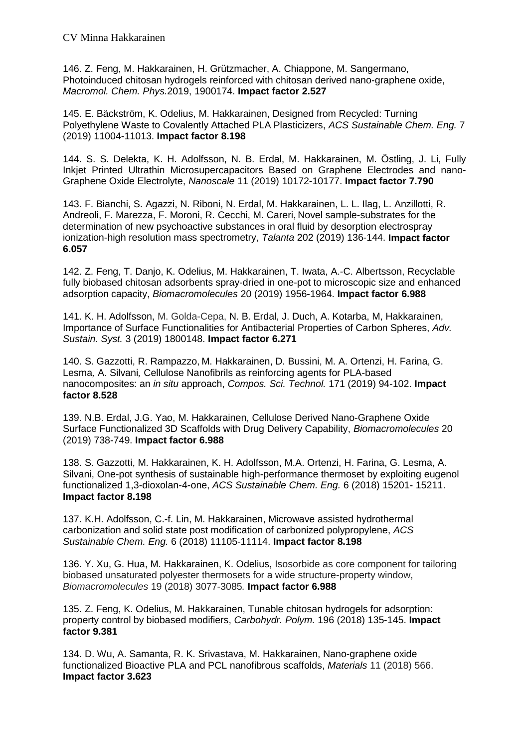146. Z. Feng, M. Hakkarainen, H. Grützmacher, A. Chiappone, M. Sangermano, Photoinduced chitosan hydrogels reinforced with chitosan derived nano-graphene oxide, *Macromol. Chem. Phys.*2019, 1900174. **Impact factor 2.527**

145. E. Bäckström, K. Odelius, M. Hakkarainen, Designed from Recycled: Turning Polyethylene Waste to Covalently Attached PLA Plasticizers, *ACS Sustainable Chem. Eng.* 7 (2019) 11004-11013. **Impact factor 8.198**

144. S. S. Delekta, K. H. Adolfsson, N. B. Erdal, M. Hakkarainen, M. Östling, J. Li, Fully Inkjet Printed Ultrathin Microsupercapacitors Based on Graphene Electrodes and nano-Graphene Oxide Electrolyte, *Nanoscale* 11 (2019) 10172-10177. **Impact factor 7.790**

143. F. Bianchi, S. Agazzi, N. Riboni, N. Erdal, M. Hakkarainen, L. L. Ilag, L. Anzillotti, R. Andreoli, F. Marezza, F. Moroni, R. Cecchi, M. Careri, Novel sample-substrates for the determination of new psychoactive substances in oral fluid by desorption electrospray ionization-high resolution mass spectrometry, *Talanta* 202 (2019) 136-144. **Impact factor 6.057**

142. Z. Feng, T. Danjo, K. Odelius, M. Hakkarainen, T. Iwata, A.-C. Albertsson, Recyclable fully biobased chitosan adsorbents spray-dried in one-pot to microscopic size and enhanced adsorption capacity, *Biomacromolecules* 20 (2019) 1956-1964. **Impact factor 6.988**

141. K. H. Adolfsson, M. Golda-Cepa, N. B. Erdal, J. Duch, A. Kotarba, M, Hakkarainen, Importance of Surface Functionalities for Antibacterial Properties of Carbon Spheres, *Adv. Sustain. Syst.* 3 (2019) 1800148. **Impact factor 6.271**

140. S. Gazzotti, R. Rampazzo, M. Hakkarainen, D. Bussini, M. A. Ortenzi, H. Farina, G. Lesma*,* A. Silvani*,* Cellulose Nanofibrils as reinforcing agents for PLA-based nanocomposites: an *in situ* approach, *Compos. Sci. Technol.* 171 (2019) 94-102. **Impact factor 8.528**

139. N.B. Erdal, J.G. Yao, M. Hakkarainen, Cellulose Derived Nano-Graphene Oxide Surface Functionalized 3D Scaffolds with Drug Delivery Capability, *Biomacromolecules* 20 (2019) 738-749. **Impact factor 6.988**

138. S. Gazzotti, M. Hakkarainen, K. H. Adolfsson, M.A. Ortenzi, H. Farina, G. Lesma, A. Silvani, One-pot synthesis of sustainable high-performance thermoset by exploiting eugenol functionalized 1,3-dioxolan-4-one, *ACS Sustainable Chem. Eng.* 6 (2018) 15201- 15211. **Impact factor 8.198**

137. K.H. Adolfsson, C.-f. Lin, M. Hakkarainen, Microwave assisted hydrothermal carbonization and solid state post modification of carbonized polypropylene, *ACS Sustainable Chem. Eng.* 6 (2018) 11105-11114. **Impact factor 8.198**

136. Y. Xu, G. Hua, M. Hakkarainen, K. Odelius, Isosorbide as core component for tailoring biobased unsaturated polyester thermosets for a wide structure-property window, *Biomacromolecules* 19 (2018) 3077-3085*.* **Impact factor 6.988**

135. Z. Feng, K. Odelius, M. Hakkarainen, Tunable chitosan hydrogels for adsorption: property control by biobased modifiers, *Carbohydr. Polym.* 196 (2018) 135-145. **Impact factor 9.381**

134. D. Wu, A. Samanta, R. K. Srivastava, M. Hakkarainen, Nano-graphene oxide functionalized Bioactive PLA and PCL nanofibrous scaffolds, *Materials* 11 (2018) 566. **Impact factor 3.623**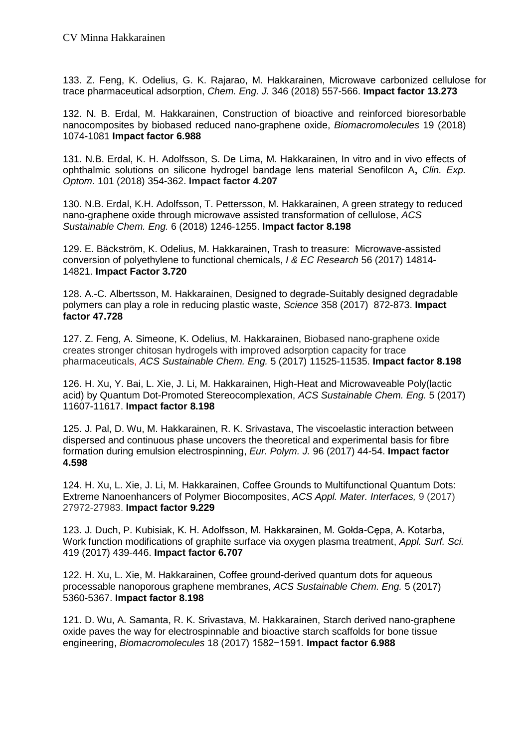133. Z. Feng, K. Odelius, G. K. Rajarao, M. Hakkarainen, Microwave carbonized cellulose for trace pharmaceutical adsorption, *Chem. Eng. J.* 346 (2018) 557-566. **Impact factor 13.273**

132. N. B. Erdal, M. Hakkarainen, Construction of bioactive and reinforced bioresorbable nanocomposites by biobased reduced nano-graphene oxide, *Biomacromolecules* 19 (2018) 1074-1081 **Impact factor 6.988**

131. N.B. Erdal, K. H. Adolfsson, S. De Lima, M. Hakkarainen, In vitro and in vivo effects of ophthalmic solutions on silicone hydrogel bandage lens material Senofilcon A**,** *Clin. Exp. Optom.* 101 (2018) 354-362. **Impact factor 4.207**

130. N.B. Erdal, K.H. Adolfsson, T. Pettersson, M. Hakkarainen, A green strategy to reduced nano-graphene oxide through microwave assisted transformation of cellulose, *ACS Sustainable Chem. Eng.* 6 (2018) 1246-1255. **Impact factor 8.198**

129. E. Bäckström, K. Odelius, M. Hakkarainen, Trash to treasure: Microwave-assisted conversion of polyethylene to functional chemicals, *I & EC Research* 56 (2017) 14814- 14821. **Impact Factor 3.720**

128. A.-C. Albertsson, M. Hakkarainen, Designed to degrade-Suitably designed degradable polymers can play a role in reducing plastic waste, *Science* 358 (2017) 872-873. **Impact factor 47.728**

127. Z. Feng, A. Simeone, K. Odelius, M. Hakkarainen, Biobased nano-graphene oxide creates stronger chitosan hydrogels with improved adsorption capacity for trace pharmaceuticals, *ACS Sustainable Chem. Eng.* 5 (2017) 11525-11535. **Impact factor 8.198**

126. H. Xu, Y. Bai, L. Xie, J. Li, M. Hakkarainen, High-Heat and Microwaveable Poly(lactic acid) by Quantum Dot-Promoted Stereocomplexation, *ACS Sustainable Chem. Eng.* 5 (2017) 11607-11617. **Impact factor 8.198**

125. J. Pal, D. Wu, M. Hakkarainen, R. K. Srivastava, The viscoelastic interaction between dispersed and continuous phase uncovers the theoretical and experimental basis for fibre formation during emulsion electrospinning, *Eur. Polym. J.* 96 (2017) 44-54. **Impact factor 4.598**

124. H. Xu, L. Xie, J. Li, M. Hakkarainen, Coffee Grounds to Multifunctional Quantum Dots: Extreme Nanoenhancers of Polymer Biocomposites, *ACS Appl. Mater. Interfaces,* 9 (2017) 27972-27983. **Impact factor 9.229**

123. J. Duch, P. Kubisiak, K. H. Adolfsson, M. Hakkarainen, M. Gołda-Cępa, A. Kotarba, Work function modifications of graphite surface via oxygen plasma treatment, *Appl. Surf. Sci.* 419 (2017) 439-446. **Impact factor 6.707**

122. H. Xu, L. Xie, M. Hakkarainen, Coffee ground-derived quantum dots for aqueous processable nanoporous graphene membranes, *ACS Sustainable Chem. Eng.* 5 (2017) 5360-5367. **Impact factor 8.198**

121. D. Wu, A. Samanta, R. K. Srivastava, M. Hakkarainen, Starch derived nano-graphene oxide paves the way for electrospinnable and bioactive starch scaffolds for bone tissue engineering, *Biomacromolecules* 18 (2017) 1582−1591*.* **Impact factor 6.988**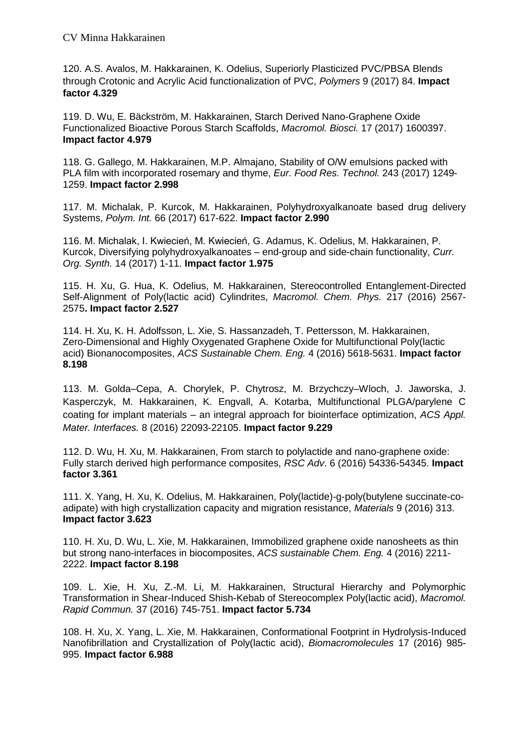120. A.S. Avalos, M. Hakkarainen, K. Odelius, Superiorly Plasticized PVC/PBSA Blends through Crotonic and Acrylic Acid functionalization of PVC, *Polymers* 9 (2017) 84. **Impact factor 4.329**

119. D. Wu, E. Bäckström, M. Hakkarainen, Starch Derived Nano-Graphene Oxide Functionalized Bioactive Porous Starch Scaffolds, *Macromol. Biosci.* 17 (2017) 1600397. **Impact factor 4.979** 

118. G. Gallego, M. Hakkarainen, M.P. Almajano, Stability of O/W emulsions packed with PLA film with incorporated rosemary and thyme, *Eur. Food Res. Technol.* 243 (2017) 1249- 1259. **Impact factor 2.998**

117. M. Michalak, P. Kurcok, M. Hakkarainen, Polyhydroxyalkanoate based drug delivery Systems, *Polym. Int.* 66 (2017) 617-622. **Impact factor 2.990**

116. M. Michalak, I. Kwiecień, M. Kwiecień, G. Adamus, K. Odelius, M. Hakkarainen, P. Kurcok, Diversifying polyhydroxyalkanoates – end-group and side-chain functionality, *Curr. Org. Synth.* 14 (2017) 1-11. **Impact factor 1.975**

115. H. Xu, G. Hua, K. Odelius, M. Hakkarainen, Stereocontrolled Entanglement-Directed Self-Alignment of Poly(lactic acid) Cylindrites, *Macromol. Chem. Phys.* 217 (2016) 2567- 2575**. Impact factor 2.527**

114. H. Xu, K. H. Adolfsson, L. Xie, S. Hassanzadeh, T. Pettersson, M. Hakkarainen, Zero-Dimensional and Highly Oxygenated Graphene Oxide for Multifunctional Poly(lactic acid) Bionanocomposites, *ACS Sustainable Chem. Eng.* 4 (2016) 5618-5631. **Impact factor 8.198**

113. M. Golda–Cepa, A. Chorylek, P. Chytrosz, M. Brzychczy–Wloch, J. Jaworska, J. Kasperczyk, M. Hakkarainen, K. Engvall, A. Kotarba, Multifunctional PLGA/parylene C coating for implant materials – an integral approach for biointerface optimization, *ACS Appl. Mater. Interfaces.* 8 (2016) 22093-22105. **Impact factor 9.229**

112. D. Wu, H. Xu, M. Hakkarainen, From starch to polylactide and nano-graphene oxide: Fully starch derived high performance composites, *RSC Adv*. 6 (2016) 54336-54345. **Impact factor 3.361**

111. X. Yang, H. Xu, K. Odelius, M. Hakkarainen, Poly(lactide)-g-poly(butylene succinate-coadipate) with high crystallization capacity and migration resistance, *Materials* 9 (2016) 313. **Impact factor 3.623**

110. H. Xu, D. Wu, L. Xie, M. Hakkarainen, Immobilized graphene oxide nanosheets as thin but strong nano-interfaces in biocomposites, *ACS sustainable Chem. Eng.* 4 (2016) 2211- 2222. **Impact factor 8.198**

109. L. Xie, H. Xu, Z.-M. Li, M. Hakkarainen, Structural Hierarchy and Polymorphic Transformation in Shear-Induced Shish-Kebab of Stereocomplex Poly(lactic acid), *Macromol. Rapid Commun.* 37 (2016) 745-751. **Impact factor 5.734**

108. H. Xu, X. Yang, L. Xie, M. Hakkarainen, Conformational Footprint in Hydrolysis-Induced Nanofibrillation and Crystallization of Poly(lactic acid), *Biomacromolecules* 17 (2016) 985- 995. **Impact factor 6.988**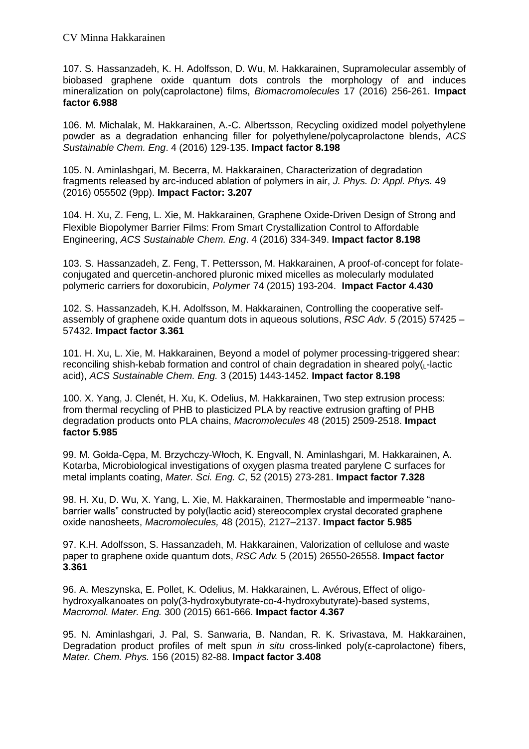107. S. Hassanzadeh, K. H. Adolfsson, D. Wu, M. Hakkarainen, Supramolecular assembly of biobased graphene oxide quantum dots controls the morphology of and induces mineralization on poly(caprolactone) films, *Biomacromolecules* 17 (2016) 256-261. **Impact factor 6.988**

106. M. Michalak, M. Hakkarainen, A.-C. Albertsson, Recycling oxidized model polyethylene powder as a degradation enhancing filler for polyethylene/polycaprolactone blends, *ACS Sustainable Chem. Eng*. 4 (2016) 129-135. **Impact factor 8.198**

105. N. Aminlashgari, M. Becerra, M. Hakkarainen, Characterization of degradation fragments released by arc-induced ablation of polymers in air, *J. Phys. D: Appl. Phys.* 49 (2016) 055502 (9pp). **Impact Factor: 3.207**

104. H. Xu, Z. Feng, L. Xie, M. Hakkarainen, Graphene Oxide-Driven Design of Strong and Flexible Biopolymer Barrier Films: From Smart Crystallization Control to Affordable Engineering, *ACS Sustainable Chem. Eng*. 4 (2016) 334-349. **Impact factor 8.198**

103. S. Hassanzadeh, Z. Feng, T. Pettersson, M. Hakkarainen, A proof-of-concept for folateconjugated and quercetin-anchored pluronic mixed micelles as molecularly modulated polymeric carriers for doxorubicin, *Polymer* 74 (2015) 193-204. **Impact Factor 4.430**

102. S. Hassanzadeh, K.H. Adolfsson, M. Hakkarainen, Controlling the cooperative selfassembly of graphene oxide quantum dots in aqueous solutions, *RSC Adv. 5 (*2015) 57425 – 57432. **Impact factor 3.361**

101. H. Xu, L. Xie, M. Hakkarainen, Beyond a model of polymer processing-triggered shear: reconciling shish-kebab formation and control of chain degradation in sheared poly $(L$ -lactic acid), *ACS Sustainable Chem. Eng.* 3 (2015) 1443-1452. **Impact factor 8.198**

100. X. Yang, J. Clenét, H. Xu, K. Odelius, M. Hakkarainen, Two step extrusion process: from thermal recycling of PHB to plasticized PLA by reactive extrusion grafting of PHB degradation products onto PLA chains, *Macromolecules* 48 (2015) 2509-2518. **Impact factor 5.985**

99. M. Gołda-Cępa, M. Brzychczy-Włoch, K. Engvall, N. Aminlashgari, M. Hakkarainen, A. Kotarba, Microbiological investigations of oxygen plasma treated parylene C surfaces for metal implants coating, *Mater. Sci. Eng. C*, 52 (2015) 273-281. **Impact factor 7.328**

98. H. Xu, D. Wu, X. Yang, L. Xie, M. Hakkarainen, Thermostable and impermeable "nanobarrier walls" constructed by poly(lactic acid) stereocomplex crystal decorated graphene oxide nanosheets, *Macromolecules,* 48 (2015), 2127–2137. **Impact factor 5.985**

97. K.H. Adolfsson, S. Hassanzadeh, M. Hakkarainen, Valorization of cellulose and waste paper to graphene oxide quantum dots, *RSC Adv.* 5 (2015) 26550-26558. **Impact factor 3.361**

96. A. Meszynska, E. Pollet, K. Odelius, M. Hakkarainen, L. Avérous, Effect of oligohydroxyalkanoates on poly(3-hydroxybutyrate-co-4-hydroxybutyrate)-based systems, *Macromol. Mater. Eng.* 300 (2015) 661-666. **Impact factor 4.367**

95. N. Aminlashgari, J. Pal, S. Sanwaria, B. Nandan, R. K. Srivastava, M. Hakkarainen, Degradation product profiles of melt spun *in situ* cross-linked poly(ε-caprolactone) fibers, *Mater. Chem. Phys.* 156 (2015) 82-88. **Impact factor 3.408**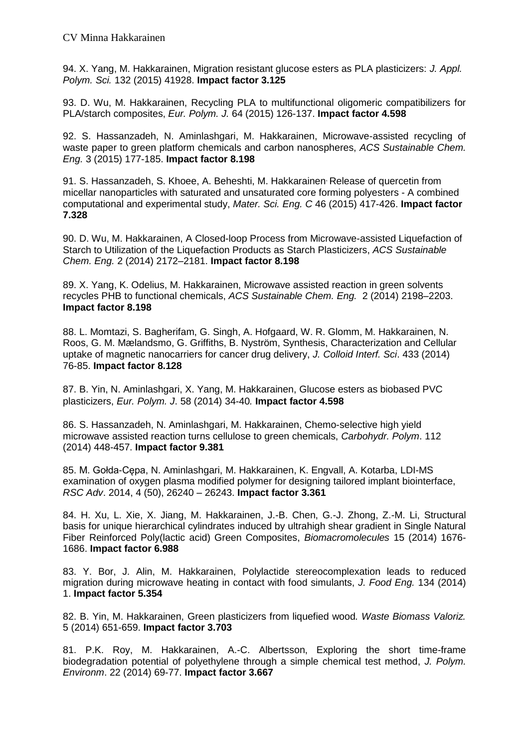94. X. Yang, M. Hakkarainen, Migration resistant glucose esters as PLA plasticizers: *J. Appl. Polym. Sci.* 132 (2015) 41928. **Impact factor 3.125**

93. D. Wu, M. Hakkarainen, Recycling PLA to multifunctional oligomeric compatibilizers for PLA/starch composites, *Eur. Polym. J.* 64 (2015) 126-137. **Impact factor 4.598**

92. S. Hassanzadeh, N. Aminlashgari, M. Hakkarainen, Microwave-assisted recycling of waste paper to green platform chemicals and carbon nanospheres, *ACS Sustainable Chem. Eng.* 3 (2015) 177-185. **Impact factor 8.198**

91. S. Hassanzadeh, S. Khoee, A. Beheshti, M. Hakkarainen, Release of quercetin from micellar nanoparticles with saturated and unsaturated core forming polyesters - A combined computational and experimental study, *Mater. Sci. Eng. C* 46 (2015) 417-426. **Impact factor 7.328**

90. D. Wu, M. Hakkarainen, A Closed-loop Process from Microwave-assisted Liquefaction of Starch to Utilization of the Liquefaction Products as Starch Plasticizers, *ACS Sustainable Chem. Eng.* 2 (2014) 2172–2181. **Impact factor 8.198**

89. X. Yang, K. Odelius, M. Hakkarainen, Microwave assisted reaction in green solvents recycles PHB to functional chemicals, *ACS Sustainable Chem. Eng.* 2 (2014) 2198–2203. **Impact factor 8.198**

88. L. Momtazi, S. Bagherifam, G. Singh, A. Hofgaard, W. R. Glomm, M. Hakkarainen, N. Roos, G. M. Mælandsmo, G. Griffiths, B. Nyström, Synthesis, Characterization and Cellular uptake of magnetic nanocarriers for cancer drug delivery, *J. Colloid Interf. Sci*. 433 (2014) 76-85. **Impact factor 8.128**

87. B. Yin, N. Aminlashgari, X. Yang, M. Hakkarainen, Glucose esters as biobased PVC plasticizers, *Eur. Polym. J*. 58 (2014) 34-40*.* **Impact factor 4.598**

86. S. Hassanzadeh, N. Aminlashgari, M. Hakkarainen, Chemo-selective high yield microwave assisted reaction turns cellulose to green chemicals, *Carbohydr. Polym*. 112 (2014) 448-457. **Impact factor 9.381**

85. M. Gołda-Cępa, N. Aminlashgari, M. Hakkarainen, K. Engvall, A. Kotarba, LDI-MS examination of oxygen plasma modified polymer for designing tailored implant biointerface, *RSC Adv*. 2014, 4 (50), 26240 – 26243. **Impact factor 3.361**

84. H. Xu, L. Xie, X. Jiang, M. Hakkarainen, J.-B. Chen, G.-J. Zhong, Z.-M. Li, Structural basis for unique hierarchical cylindrates induced by ultrahigh shear gradient in Single Natural Fiber Reinforced Poly(lactic acid) Green Composites, *Biomacromolecules* 15 (2014) 1676- 1686. **Impact factor 6.988**

83. Y. Bor, J. Alin, M. Hakkarainen, Polylactide stereocomplexation leads to reduced migration during microwave heating in contact with food simulants, *J. Food Eng.* 134 (2014) 1. **Impact factor 5.354**

82. B. Yin, M. Hakkarainen, Green plasticizers from liquefied wood*. Waste Biomass Valoriz.* 5 (2014) 651-659. **Impact factor 3.703**

81. P.K. Roy, M. Hakkarainen, A.-C. Albertsson, Exploring the short time-frame biodegradation potential of polyethylene through a simple chemical test method, *J. Polym. Environm*. 22 (2014) 69-77. **Impact factor 3.667**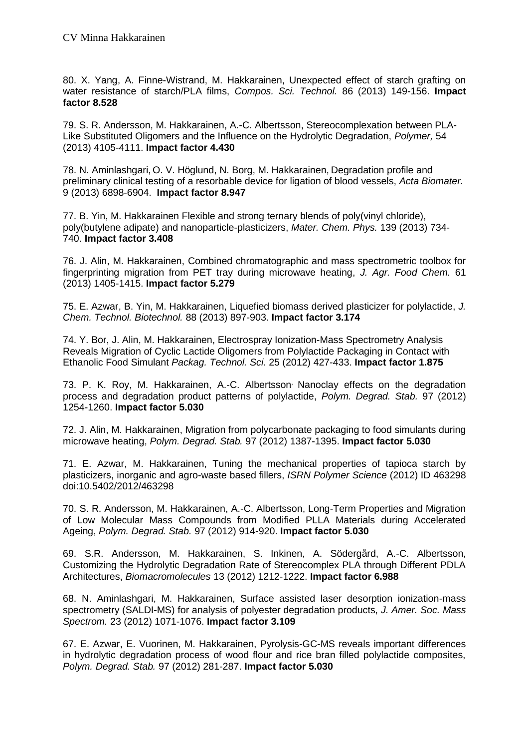80. X. Yang, A. Finne-Wistrand, M. Hakkarainen, Unexpected effect of starch grafting on water resistance of starch/PLA films, *Compos. Sci. Technol.* 86 (2013) 149-156. **Impact factor 8.528**

79. S. R. Andersson, M. Hakkarainen, A.-C. Albertsson, Stereocomplexation between PLA-Like Substituted Oligomers and the Influence on the Hydrolytic Degradation, *Polymer,* 54 (2013) 4105-4111. **Impact factor 4.430**

78. N. Aminlashgari, O. V. Höglund, N. Borg, M. Hakkarainen, Degradation profile and preliminary clinical testing of a resorbable device for ligation of blood vessels, *Acta Biomater.* 9 (2013) 6898-6904. **Impact factor 8.947**

77. B. Yin, M. Hakkarainen Flexible and strong ternary blends of poly(vinyl chloride), poly(butylene adipate) and nanoparticle-plasticizers, *Mater. Chem. Phys.* 139 (2013) 734- 740. **Impact factor 3.408**

76. J. Alin, M. Hakkarainen, Combined chromatographic and mass spectrometric toolbox for fingerprinting migration from PET tray during microwave heating, *J. Agr. Food Chem.* 61 (2013) 1405-1415. **Impact factor 5.279**

75. E. Azwar, B. Yin, M. Hakkarainen, Liquefied biomass derived plasticizer for polylactide, *J. Chem. Technol. Biotechnol.* 88 (2013) 897-903. **Impact factor 3.174**

74. Y. Bor, J. Alin, M. Hakkarainen, [Electrospray Ionization-Mass Spectrometry Analysis](http://onlinelibrary.wiley.com/doi/10.1002/pts.990/abstract)  [Reveals Migration of Cyclic Lactide Oligomers from Polylactide Packaging in Contact with](http://onlinelibrary.wiley.com/doi/10.1002/pts.990/abstract)  [Ethanolic Food Simulant](http://onlinelibrary.wiley.com/doi/10.1002/pts.990/abstract) *Packag. Technol. Sci.* 25 (2012) 427-433. **Impact factor 1.875**

73. P. K. Roy, M. Hakkarainen, A.-C. Albertsson, Nanoclay effects on the degradation process and degradation product patterns of polylactide, *Polym. Degrad. Stab.* 97 (2012) 1254-1260. **Impact factor 5.030**

72. J. Alin, M. Hakkarainen, Migration from polycarbonate packaging to food simulants during microwave heating, *Polym. Degrad. Stab.* 97 (2012) 1387-1395. **Impact factor 5.030**

71. E. Azwar, M. Hakkarainen, Tuning the mechanical properties of tapioca starch by plasticizers, inorganic and agro-waste based fillers, *ISRN Polymer Science* (2012) ID 463298 doi:10.5402/2012/463298

70. S. R. Andersson, M. Hakkarainen, A.-C. Albertsson, Long-Term Properties and Migration of Low Molecular Mass Compounds from Modified PLLA Materials during Accelerated Ageing, *Polym. Degrad. Stab.* 97 (2012) 914-920. **Impact factor 5.030**

69. S.R. Andersson, M. Hakkarainen, S. Inkinen, A. Södergård, A.-C. Albertsson, Customizing the Hydrolytic Degradation Rate of Stereocomplex PLA through Different PDLA Architectures, *Biomacromolecules* 13 (2012) 1212-1222. **Impact factor 6.988**

68. N. Aminlashgari, M. Hakkarainen, Surface assisted laser desorption ionization-mass spectrometry (SALDI-MS) for analysis of polyester degradation products, *J. Amer. Soc. Mass Spectrom.* 23 (2012) 1071-1076. **Impact factor 3.109**

67. E. Azwar, E. Vuorinen, M. Hakkarainen, Pyrolysis-GC-MS reveals important differences in hydrolytic degradation process of wood flour and rice bran filled polylactide composites, *Polym. Degrad. Stab.* 97 (2012) 281-287. **Impact factor 5.030**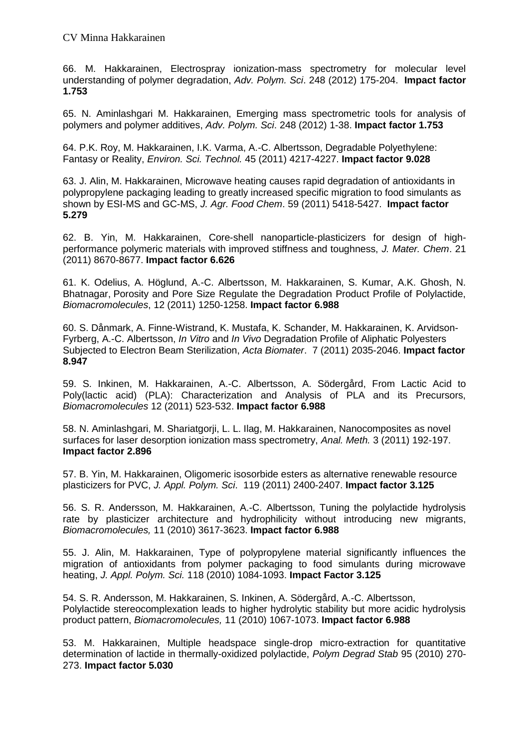66. M. Hakkarainen, Electrospray ionization-mass spectrometry for molecular level understanding of polymer degradation, *Adv. Polym. Sci*. 248 (2012) 175-204. **Impact factor 1.753**

65. N. Aminlashgari M. Hakkarainen, Emerging mass spectrometric tools for analysis of polymers and polymer additives, *Adv. Polym. Sci*. 248 (2012) 1-38. **Impact factor 1.753**

64. P.K. Roy, M. Hakkarainen, I.K. Varma, A.-C. Albertsson, Degradable Polyethylene: Fantasy or Reality, *Environ. Sci. Technol.* 45 (2011) 4217-4227. **Impact factor 9.028**

63. J. Alin, M. Hakkarainen, Microwave heating causes rapid degradation of antioxidants in polypropylene packaging leading to greatly increased specific migration to food simulants as shown by ESI-MS and GC-MS, *J. Agr. Food Chem*. 59 (2011) 5418-5427. **Impact factor 5.279**

62. B. Yin, M. Hakkarainen, Core-shell nanoparticle-plasticizers for design of highperformance polymeric materials with improved stiffness and toughness, *J. Mater. Chem*. 21 (2011) 8670-8677. **Impact factor 6.626**

61. K. Odelius, A. Höglund, A.-C. Albertsson, M. Hakkarainen, S. Kumar, A.K. Ghosh, N. Bhatnagar, Porosity and Pore Size Regulate the Degradation Product Profile of Polylactide, *Biomacromolecules*, 12 (2011) 1250-1258. **Impact factor 6.988**

60. S. Dånmark, A. Finne-Wistrand, K. Mustafa, K. Schander, M. Hakkarainen, K. Arvidson-Fyrberg, A.-C. Albertsson, *In Vitro* and *In Vivo* Degradation Profile of Aliphatic Polyesters Subjected to Electron Beam Sterilization, *Acta Biomater*. 7 (2011) 2035-2046. **Impact factor 8.947**

59. S. Inkinen, M. Hakkarainen, A.-C. Albertsson, A. Södergård, From Lactic Acid to Poly(lactic acid) (PLA): Characterization and Analysis of PLA and its Precursors, *Biomacromolecules* 12 (2011) 523-532. **Impact factor 6.988**

58. N. Aminlashgari, M. Shariatgorji, L. L. Ilag, M. Hakkarainen, Nanocomposites as novel surfaces for laser desorption ionization mass spectrometry, *Anal. Meth.* 3 (2011) 192-197. **Impact factor 2.896**

57. B. Yin, M. Hakkarainen, Oligomeric isosorbide esters as alternative renewable resource plasticizers for PVC, *J. Appl. Polym. Sci*. 119 (2011) 2400-2407. **Impact factor 3.125**

56. S. R. Andersson, M. Hakkarainen, A.-C. Albertsson, Tuning the polylactide hydrolysis rate by plasticizer architecture and hydrophilicity without introducing new migrants, *Biomacromolecules,* 11 (2010) 3617-3623. **Impact factor 6.988**

55. J. Alin, M. Hakkarainen, Type of polypropylene material significantly influences the migration of antioxidants from polymer packaging to food simulants during microwave heating, *J. Appl. Polym. Sci.* 118 (2010) 1084-1093. **Impact Factor 3.125**

54. S. R. Andersson, M. Hakkarainen, S. Inkinen, A. Södergård, A.-C. Albertsson, Polylactide stereocomplexation leads to higher hydrolytic stability but more acidic hydrolysis product pattern, *Biomacromolecules,* 11 (2010) 1067-1073. **Impact factor 6.988**

53. M. Hakkarainen, Multiple headspace single-drop micro-extraction for quantitative determination of lactide in thermally-oxidized polylactide, *Polym Degrad Stab* 95 (2010) 270- 273. **Impact factor 5.030**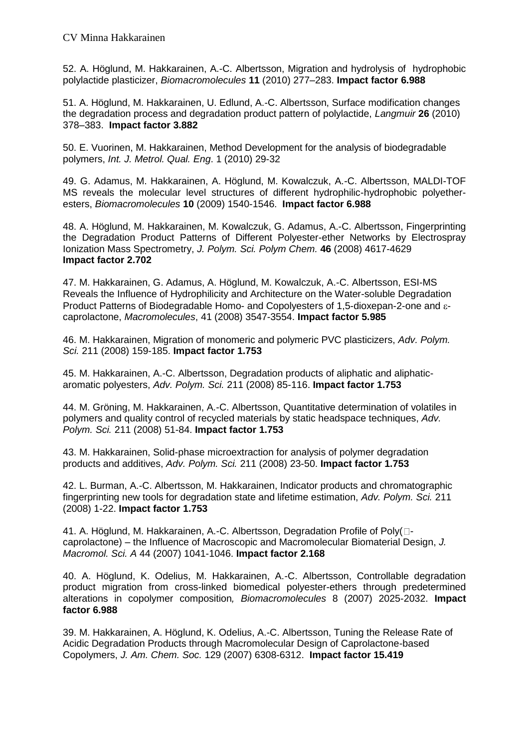52. A. Höglund, M. Hakkarainen, A.-C. Albertsson, Migration and hydrolysis of hydrophobic polylactide plasticizer, *Biomacromolecules* **11** (2010) 277–283. **Impact factor 6.988**

51. A. Höglund, M. Hakkarainen, U. Edlund, A.-C. Albertsson, Surface modification changes the degradation process and degradation product pattern of polylactide, *Langmuir* **26** (2010) 378–383. **Impact factor 3.882**

50. E. Vuorinen, M. Hakkarainen, Method Development for the analysis of biodegradable polymers, *Int. J. Metrol. Qual. Eng*. 1 (2010) 29-32

49. G. Adamus, M. Hakkarainen, A. Höglund, M. Kowalczuk, A.-C. Albertsson, MALDI-TOF MS reveals the molecular level structures of different hydrophilic-hydrophobic polyetheresters, *Biomacromolecules* **10** (2009) 1540-1546. **Impact factor 6.988**

48. A. Höglund, M. Hakkarainen, M. Kowalczuk, G. Adamus, A.-C. Albertsson, Fingerprinting the Degradation Product Patterns of Different Polyester-ether Networks by Electrospray Ionization Mass Spectrometry, *J. Polym. Sci. Polym Chem.* **46** (2008) 4617-4629 **Impact factor 2.702**

47. M. Hakkarainen, G. Adamus, A. Höglund, M. Kowalczuk, A.-C. Albertsson, ESI-MS Reveals the Influence of Hydrophilicity and Architecture on the Water-soluble Degradation Product Patterns of Biodegradable Homo- and Copolyesters of 1,5-dioxepan-2-one and  $\varepsilon$ caprolactone, *Macromolecules*, 41 (2008) 3547-3554. **Impact factor 5.985**

46. M. Hakkarainen, Migration of monomeric and polymeric PVC plasticizers, *Adv. Polym. Sci.* 211 (2008) 159-185. **Impact factor 1.753**

45. M. Hakkarainen, A.-C. Albertsson, Degradation products of aliphatic and aliphaticaromatic polyesters, *Adv. Polym. Sci.* 211 (2008) 85-116. **Impact factor 1.753**

44. M. Gröning, M. Hakkarainen, A.-C. Albertsson, Quantitative determination of volatiles in polymers and quality control of recycled materials by static headspace techniques, *Adv. Polym. Sci.* 211 (2008) 51-84. **Impact factor 1.753**

43. M. Hakkarainen, Solid-phase microextraction for analysis of polymer degradation products and additives, *Adv. Polym. Sci.* 211 (2008) 23-50. **Impact factor 1.753**

42. L. Burman, A.-C. Albertsson, M. Hakkarainen, Indicator products and chromatographic fingerprinting new tools for degradation state and lifetime estimation, *Adv. Polym. Sci.* 211 (2008) 1-22. **Impact factor 1.753**

41. A. Höglund, M. Hakkarainen, A.-C. Albertsson, Degradation Profile of Poly $\Box$ caprolactone) – the Influence of Macroscopic and Macromolecular Biomaterial Design, *J. Macromol. Sci. A* 44 (2007) 1041-1046. **Impact factor 2.168**

40. A. Höglund, K. Odelius, M. Hakkarainen, A.-C. Albertsson, Controllable degradation product migration from cross-linked biomedical polyester-ethers through predetermined alterations in copolymer composition*, Biomacromolecules* 8 (2007) 2025-2032. **Impact factor 6.988**

39. M. Hakkarainen, A. Höglund, K. Odelius, A.-C. Albertsson, Tuning the Release Rate of Acidic Degradation Products through Macromolecular Design of Caprolactone-based Copolymers, *J. Am. Chem. Soc.* 129 (2007) 6308-6312. **Impact factor 15.419**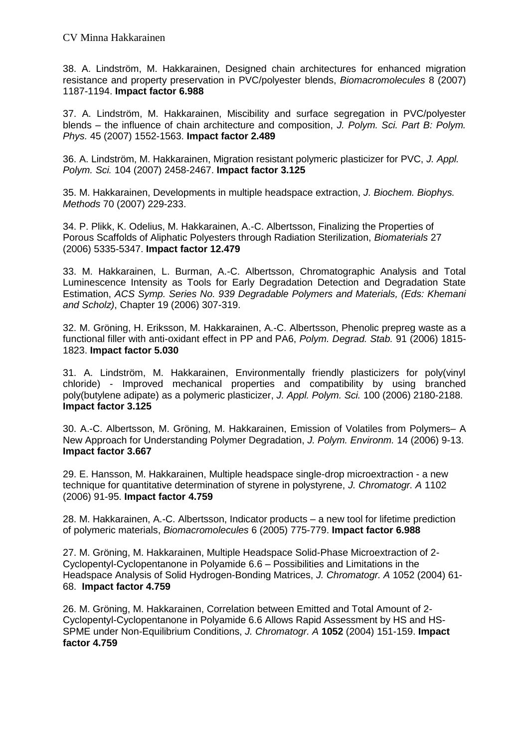38. A. Lindström, M. Hakkarainen, Designed chain architectures for enhanced migration resistance and property preservation in PVC/polyester blends, *Biomacromolecules* 8 (2007) 1187-1194. **Impact factor 6.988**

37. A. Lindström, M. Hakkarainen, Miscibility and surface segregation in PVC/polyester blends – the influence of chain architecture and composition, *J. Polym. Sci. Part B: Polym. Phys.* 45 (2007) 1552-1563. **Impact factor 2.489**

36. A. Lindström, M. Hakkarainen, Migration resistant polymeric plasticizer for PVC, *J. Appl. Polym. Sci.* 104 (2007) 2458-2467. **Impact factor 3.125**

35. M. Hakkarainen, Developments in multiple headspace extraction, *J. Biochem. Biophys. Methods* 70 (2007) 229-233.

34. P. Plikk, K. Odelius, M. Hakkarainen, A.-C. Albertsson, Finalizing the Properties of Porous Scaffolds of Aliphatic Polyesters through Radiation Sterilization, *Biomaterials* 27 (2006) 5335-5347. **Impact factor 12.479**

33. M. Hakkarainen, L. Burman, A.-C. Albertsson, Chromatographic Analysis and Total Luminescence Intensity as Tools for Early Degradation Detection and Degradation State Estimation, *ACS Symp. Series No. 939 Degradable Polymers and Materials, (Eds: Khemani and Scholz)*, Chapter 19 (2006) 307-319.

32. M. Gröning, H. Eriksson, M. Hakkarainen, A.-C. Albertsson, Phenolic prepreg waste as a functional filler with anti-oxidant effect in PP and PA6, *Polym. Degrad. Stab.* 91 (2006) 1815- 1823. **Impact factor 5.030**

31. A. Lindström, M. Hakkarainen, Environmentally friendly plasticizers for poly(vinyl chloride) - Improved mechanical properties and compatibility by using branched poly(butylene adipate) as a polymeric plasticizer, *J. Appl. Polym. Sci.* 100 (2006) 2180-2188. **Impact factor 3.125**

30. A.-C. Albertsson, M. Gröning, M. Hakkarainen, Emission of Volatiles from Polymers– A New Approach for Understanding Polymer Degradation, *J. Polym. Environm.* 14 (2006) 9-13. **Impact factor 3.667**

29. E. Hansson, M. Hakkarainen, Multiple headspace single-drop microextraction - a new technique for quantitative determination of styrene in polystyrene, *J. Chromatogr. A* 1102 (2006) 91-95. **Impact factor 4.759**

28. M. Hakkarainen, A.-C. Albertsson, Indicator products – a new tool for lifetime prediction of polymeric materials, *Biomacromolecules* 6 (2005) 775-779. **Impact factor 6.988**

27. M. Gröning, M. Hakkarainen, Multiple Headspace Solid-Phase Microextraction of 2- Cyclopentyl-Cyclopentanone in Polyamide 6.6 – Possibilities and Limitations in the Headspace Analysis of Solid Hydrogen-Bonding Matrices, *J. Chromatogr. A* 1052 (2004) 61- 68. **Impact factor 4.759**

26. M. Gröning, M. Hakkarainen, Correlation between Emitted and Total Amount of 2- Cyclopentyl-Cyclopentanone in Polyamide 6.6 Allows Rapid Assessment by HS and HS-SPME under Non-Equilibrium Conditions, *J. Chromatogr. A* **1052** (2004) 151-159. **Impact factor 4.759**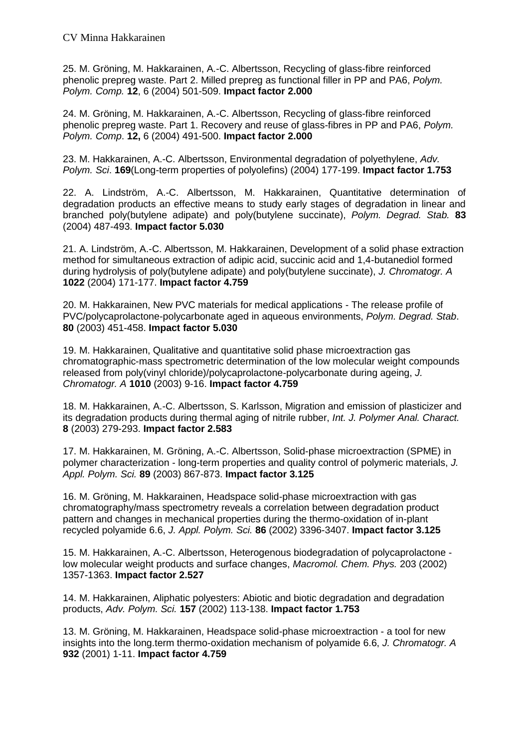25. M. Gröning, M. Hakkarainen, A.-C. Albertsson, Recycling of glass-fibre reinforced phenolic prepreg waste. Part 2. Milled prepreg as functional filler in PP and PA6, *Polym. Polym. Comp.* **12**, 6 (2004) 501-509. **Impact factor 2.000**

24. M. Gröning, M. Hakkarainen, A.-C. Albertsson, Recycling of glass-fibre reinforced phenolic prepreg waste. Part 1. Recovery and reuse of glass-fibres in PP and PA6, *Polym. Polym. Comp*. **12,** 6 (2004) 491-500. **Impact factor 2.000**

23. M. Hakkarainen, A.-C. Albertsson, Environmental degradation of polyethylene, *Adv. Polym. Sci*. **169**(Long-term properties of polyolefins) (2004) 177-199. **Impact factor 1.753**

22. A. Lindström, A.-C. Albertsson, M. Hakkarainen, Quantitative determination of degradation products an effective means to study early stages of degradation in linear and branched poly(butylene adipate) and poly(butylene succinate), *Polym. Degrad. Stab.* **83** (2004) 487-493. **Impact factor 5.030**

21. A. Lindström, A.-C. Albertsson, M. Hakkarainen, Development of a solid phase extraction method for simultaneous extraction of adipic acid, succinic acid and 1,4-butanediol formed during hydrolysis of poly(butylene adipate) and poly(butylene succinate), *J. Chromatogr. A* **1022** (2004) 171-177. **Impact factor 4.759**

20. M. Hakkarainen, New PVC materials for medical applications - The release profile of PVC/polycaprolactone-polycarbonate aged in aqueous environments, *Polym. Degrad. Stab*. **80** (2003) 451-458. **Impact factor 5.030**

19. M. Hakkarainen, Qualitative and quantitative solid phase microextraction gas chromatographic-mass spectrometric determination of the low molecular weight compounds released from poly(vinyl chloride)/polycaprolactone-polycarbonate during ageing, *J. Chromatogr. A* **1010** (2003) 9-16. **Impact factor 4.759**

18. M. Hakkarainen, A.-C. Albertsson, S. Karlsson, Migration and emission of plasticizer and its degradation products during thermal aging of nitrile rubber, *Int. J. Polymer Anal. Charact.* **8** (2003) 279-293. **Impact factor 2.583**

17. M. Hakkarainen, M. Gröning, A.-C. Albertsson, Solid-phase microextraction (SPME) in polymer characterization - long-term properties and quality control of polymeric materials, *J. Appl. Polym. Sci.* **89** (2003) 867-873. **Impact factor 3.125**

16. M. Gröning, M. Hakkarainen, Headspace solid-phase microextraction with gas chromatography/mass spectrometry reveals a correlation between degradation product pattern and changes in mechanical properties during the thermo-oxidation of in-plant recycled polyamide 6.6, *J. Appl. Polym. Sci.* **86** (2002) 3396-3407. **Impact factor 3.125**

15. M. Hakkarainen, A.-C. Albertsson, Heterogenous biodegradation of polycaprolactone low molecular weight products and surface changes, *Macromol. Chem. Phys.* 203 (2002) 1357-1363. **Impact factor 2.527**

14. M. Hakkarainen, Aliphatic polyesters: Abiotic and biotic degradation and degradation products, *Adv. Polym. Sci.* **157** (2002) 113-138. **Impact factor 1.753**

13. M. Gröning, M. Hakkarainen, Headspace solid-phase microextraction - a tool for new insights into the long.term thermo-oxidation mechanism of polyamide 6.6, *J. Chromatogr. A* **932** (2001) 1-11. **Impact factor 4.759**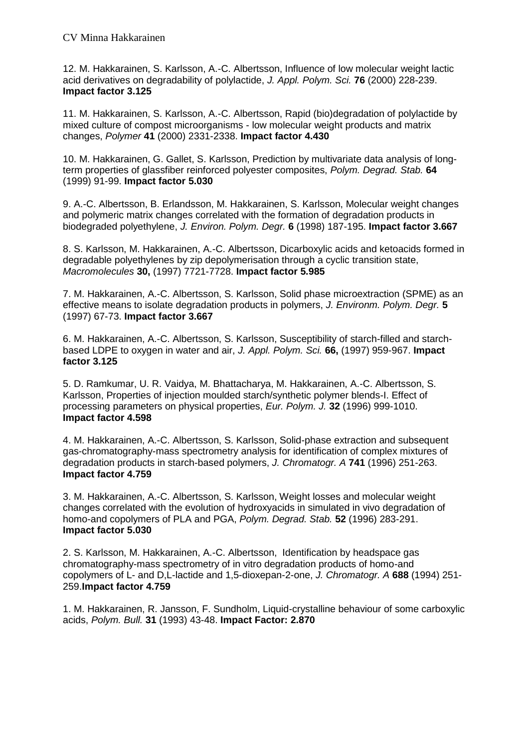12. M. Hakkarainen, S. Karlsson, A.-C. Albertsson, Influence of low molecular weight lactic acid derivatives on degradability of polylactide, *J. Appl. Polym. Sci.* **76** (2000) 228-239. **Impact factor 3.125**

11. M. Hakkarainen, S. Karlsson, A.-C. Albertsson, Rapid (bio)degradation of polylactide by mixed culture of compost microorganisms - low molecular weight products and matrix changes, *Polymer* **41** (2000) 2331-2338. **Impact factor 4.430**

10. M. Hakkarainen, G. Gallet, S. Karlsson, Prediction by multivariate data analysis of longterm properties of glassfiber reinforced polyester composites, *Polym. Degrad. Stab.* **64**  (1999) 91-99. **Impact factor 5.030**

9. A.-C. Albertsson, B. Erlandsson, M. Hakkarainen, S. Karlsson, Molecular weight changes and polymeric matrix changes correlated with the formation of degradation products in biodegraded polyethylene, *J. Environ. Polym. Degr.* **6** (1998) 187-195. **Impact factor 3.667**

8. S. Karlsson, M. Hakkarainen, A.-C. Albertsson, Dicarboxylic acids and ketoacids formed in degradable polyethylenes by zip depolymerisation through a cyclic transition state, *Macromolecules* **30,** (1997) 7721-7728. **Impact factor 5.985**

7. M. Hakkarainen, A.-C. Albertsson, S. Karlsson, Solid phase microextraction (SPME) as an effective means to isolate degradation products in polymers, *J. Environm. Polym. Degr.* **5** (1997) 67-73. **Impact factor 3.667**

6. M. Hakkarainen, A.-C. Albertsson, S. Karlsson, Susceptibility of starch-filled and starchbased LDPE to oxygen in water and air, *J. Appl. Polym. Sci.* **66,** (1997) 959-967. **Impact factor 3.125**

5. D. Ramkumar, U. R. Vaidya, M. Bhattacharya, M. Hakkarainen, A.-C. Albertsson, S. Karlsson, Properties of injection moulded starch/synthetic polymer blends-I. Effect of processing parameters on physical properties, *Eur. Polym. J.* **32** (1996) 999-1010. **Impact factor 4.598**

4. M. Hakkarainen, A.-C. Albertsson, S. Karlsson, Solid-phase extraction and subsequent gas-chromatography-mass spectrometry analysis for identification of complex mixtures of degradation products in starch-based polymers, *J. Chromatogr. A* **741** (1996) 251-263. **Impact factor 4.759**

3. M. Hakkarainen, A.-C. Albertsson, S. Karlsson, Weight losses and molecular weight changes correlated with the evolution of hydroxyacids in simulated in vivo degradation of homo-and copolymers of PLA and PGA, *Polym. Degrad. Stab.* **52** (1996) 283-291. **Impact factor 5.030**

2. S. Karlsson, M. Hakkarainen, A.-C. Albertsson, Identification by headspace gas chromatography-mass spectrometry of in vitro degradation products of homo-and copolymers of L- and D,L-lactide and 1,5-dioxepan-2-one, *J. Chromatogr. A* **688** (1994) 251- 259.**Impact factor 4.759**

1. M. Hakkarainen, R. Jansson, F. Sundholm, Liquid-crystalline behaviour of some carboxylic acids, *Polym. Bull.* **31** (1993) 43-48. **Impact Factor: 2.870**